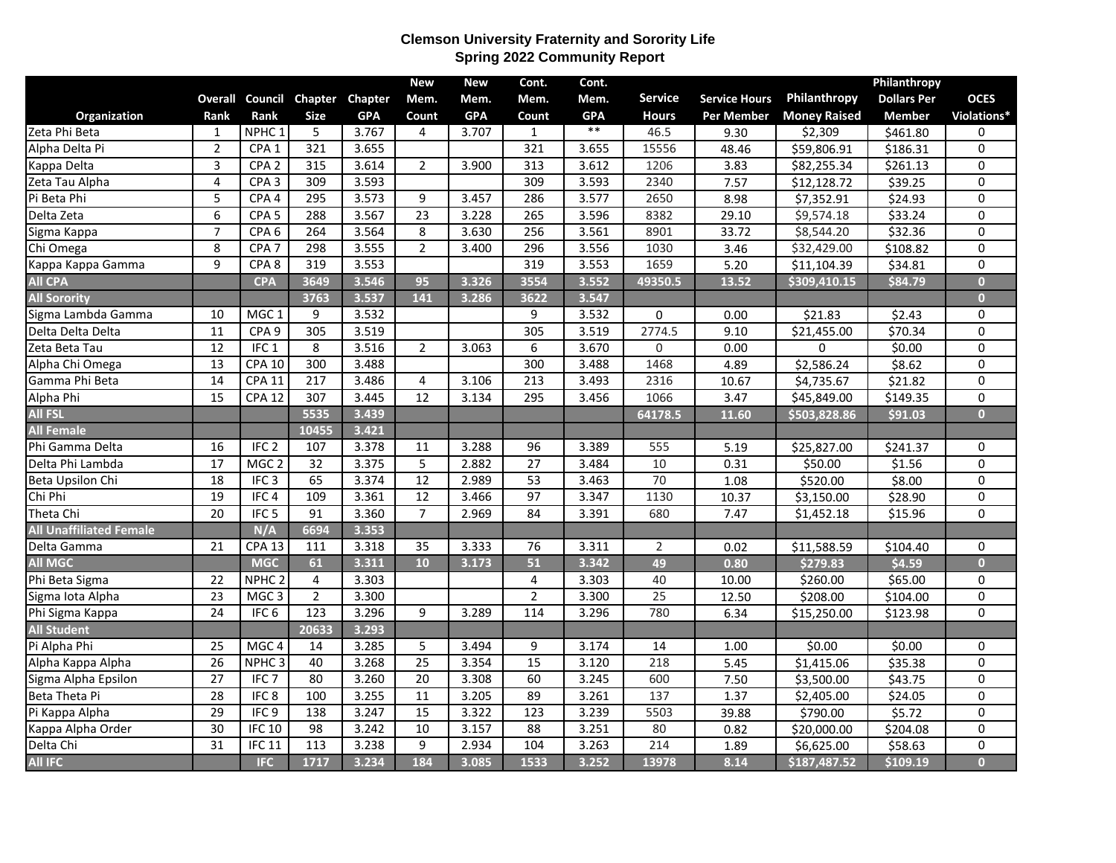## **Clemson University Fraternity and Sorority Life Spring 2022 Community Report**

|                                |                 |                   |                  |            | <b>New</b>      | <b>New</b> | Cont.            | Cont.      |                 |                      |                     | Philanthropy       |                         |
|--------------------------------|-----------------|-------------------|------------------|------------|-----------------|------------|------------------|------------|-----------------|----------------------|---------------------|--------------------|-------------------------|
|                                | <b>Overall</b>  | Council           | Chapter          | Chapter    | Mem.            | Mem.       | Mem.             | Mem.       | <b>Service</b>  | <b>Service Hours</b> | Philanthropy        | <b>Dollars Per</b> | <b>OCES</b>             |
| Organization                   | Rank            | Rank              | <b>Size</b>      | <b>GPA</b> | Count           | <b>GPA</b> | Count            | <b>GPA</b> | <b>Hours</b>    | <b>Per Member</b>    | <b>Money Raised</b> | <b>Member</b>      | Violations*             |
| Zeta Phi Beta                  | $\mathbf{1}$    | NPHC <sub>1</sub> | 5                | 3.767      | 4               | 3.707      | $\mathbf{1}$     | $***$      | 46.5            | 9.30                 | \$2,309             | \$461.80           | 0                       |
| Alpha Delta Pi                 | $\overline{2}$  | CPA <sub>1</sub>  | 321              | 3.655      |                 |            | 321              | 3.655      | 15556           | 48.46                | \$59,806.91         | \$186.31           | 0                       |
| Kappa Delta                    | 3               | CPA <sub>2</sub>  | 315              | 3.614      | $\overline{2}$  | 3.900      | 313              | 3.612      | 1206            | 3.83                 | \$82,255.34         | \$261.13           | 0                       |
| Zeta Tau Alpha                 | 4               | CPA <sub>3</sub>  | 309              | 3.593      |                 |            | 309              | 3.593      | 2340            | 7.57                 | \$12,128.72         | \$39.25            | $\overline{0}$          |
| Pi Beta Phi                    | $\overline{5}$  | CPA <sub>4</sub>  | 295              | 3.573      | 9               | 3.457      | 286              | 3.577      | 2650            | 8.98                 | \$7,352.91          | \$24.93            | $\overline{0}$          |
| Delta Zeta                     | 6               | CPA <sub>5</sub>  | 288              | 3.567      | $\overline{23}$ | 3.228      | 265              | 3.596      | 8382            | 29.10                | \$9,574.18          | \$33.24            | 0                       |
| Sigma Kappa                    | $\overline{7}$  | CPA <sub>6</sub>  | 264              | 3.564      | 8               | 3.630      | 256              | 3.561      | 8901            | 33.72                | \$8,544.20          | \$32.36            | 0                       |
| Chi Omega                      | 8               | CPA <sub>7</sub>  | 298              | 3.555      | $\overline{2}$  | 3.400      | 296              | 3.556      | 1030            | 3.46                 | \$32,429.00         | \$108.82           | $\overline{0}$          |
| Kappa Kappa Gamma              | $\overline{9}$  | CPA <sub>8</sub>  | 319              | 3.553      |                 |            | 319              | 3.553      | 1659            | 5.20                 | \$11,104.39         | \$34.81            | $\overline{0}$          |
| <b>All CPA</b>                 |                 | <b>CPA</b>        | 3649             | 3.546      | 95              | 3.326      | 3554             | 3.552      | 49350.5         | 13.52                | \$309,410.15        | \$84.79            | $\overline{\mathbf{0}}$ |
| <b>All Sorority</b>            |                 |                   | 3763             | 3.537      | 141             | 3.286      | 3622             | 3.547      |                 |                      |                     |                    | $\overline{\mathbf{0}}$ |
| Sigma Lambda Gamma             | 10              | MGC <sub>1</sub>  | 9                | 3.532      |                 |            | 9                | 3.532      | $\Omega$        | 0.00                 | \$21.83             | \$2.43             | 0                       |
| Delta Delta Delta              | $\overline{11}$ | CPA <sub>9</sub>  | 305              | 3.519      |                 |            | 305              | 3.519      | 2774.5          | 9.10                 | \$21,455.00         | \$70.34            | $\overline{0}$          |
| Zeta Beta Tau                  | 12              | IFC <sub>1</sub>  | 8                | 3.516      | $\overline{2}$  | 3.063      | $\boldsymbol{6}$ | 3.670      | $\Omega$        | 0.00                 | 0                   | \$0.00             | 0                       |
| Alpha Chi Omega                | $\overline{13}$ | <b>CPA 10</b>     | 300              | 3.488      |                 |            | 300              | 3.488      | 1468            | 4.89                 | \$2,586.24          | \$8.62             | $\overline{0}$          |
| Gamma Phi Beta                 | $\overline{14}$ | CPA 11            | $\overline{217}$ | 3.486      | $\overline{4}$  | 3.106      | $\overline{213}$ | 3.493      | 2316            | 10.67                | \$4,735.67          | \$21.82            | 0                       |
| Alpha Phi                      | 15              | <b>CPA 12</b>     | 307              | 3.445      | 12              | 3.134      | 295              | 3.456      | 1066            | $\overline{3.47}$    | \$45,849.00         | \$149.35           | $\overline{0}$          |
| <b>All FSL</b>                 |                 |                   | 5535             | 3.439      |                 |            |                  |            | 64178.5         | 11.60                | \$503,828.86        | \$91.03            | $\overline{\mathbf{0}}$ |
| <b>All Female</b>              |                 |                   | 10455            | 3.421      |                 |            |                  |            |                 |                      |                     |                    |                         |
| Phi Gamma Delta                | 16              | IFC <sub>2</sub>  | 107              | 3.378      | 11              | 3.288      | 96               | 3.389      | 555             | 5.19                 | \$25,827.00         | \$241.37           | 0                       |
| Delta Phi Lambda               | $\overline{17}$ | MGC <sub>2</sub>  | $\overline{32}$  | 3.375      | 5               | 2.882      | $\overline{27}$  | 3.484      | 10              | 0.31                 | \$50.00             | \$1.56             | $\overline{0}$          |
| Beta Upsilon Chi               | $\overline{18}$ | IFC <sub>3</sub>  | 65               | 3.374      | $\overline{12}$ | 2.989      | 53               | 3.463      | 70              | 1.08                 | \$520.00            | \$8.00             | $\overline{0}$          |
| Chi Phi                        | 19              | IFC4              | 109              | 3.361      | 12              | 3.466      | 97               | 3.347      | 1130            | 10.37                | \$3,150.00          | \$28.90            | 0                       |
| Theta Chi                      | $\overline{20}$ | IFC <sub>5</sub>  | $\overline{91}$  | 3.360      | $\overline{7}$  | 2.969      | 84               | 3.391      | 680             | 7.47                 | \$1,452.18          | \$15.96            | $\overline{0}$          |
| <b>All Unaffiliated Female</b> |                 | N/A               | 6694             | 3.353      |                 |            |                  |            |                 |                      |                     |                    |                         |
| Delta Gamma                    | $\overline{21}$ | <b>CPA 13</b>     | 111              | 3.318      | 35              | 3.333      | $\overline{76}$  | 3.311      | 2               | 0.02                 | \$11,588.59         | \$104.40           | 0                       |
| <b>All MGC</b>                 |                 | <b>MGC</b>        | 61               | 3.311      | 10              | 3.173      | 51               | 3.342      | 49              | 0.80                 | \$279.83            | \$4.59             | $\overline{\mathbf{0}}$ |
| Phi Beta Sigma                 | 22              | NPHC <sub>2</sub> | 4                | 3.303      |                 |            | 4                | 3.303      | 40              | 10.00                | \$260.00            | \$65.00            | 0                       |
| Sigma lota Alpha               | $\overline{23}$ | MGC <sub>3</sub>  | $\overline{2}$   | 3.300      |                 |            | $\overline{2}$   | 3.300      | $\overline{25}$ | 12.50                | \$208.00            | \$104.00           | 0                       |
| Phi Sigma Kappa                | $\overline{24}$ | IFC <sub>6</sub>  | $\frac{1}{23}$   | 3.296      | 9               | 3.289      | 114              | 3.296      | 780             | 6.34                 | \$15,250.00         | \$123.98           | $\overline{0}$          |
| <b>All Student</b>             |                 |                   | 20633            | 3.293      |                 |            |                  |            |                 |                      |                     |                    |                         |
| Pi Alpha Phi                   | $\overline{25}$ | MGC <sub>4</sub>  | 14               | 3.285      | 5               | 3.494      | 9                | 3.174      | 14              | 1.00                 | \$0.00              | \$0.00             | 0                       |
| Alpha Kappa Alpha              | $\overline{26}$ | NPHC <sub>3</sub> | 40               | 3.268      | $\overline{25}$ | 3.354      | $\overline{15}$  | 3.120      | 218             | 5.45                 | \$1,415.06          | \$35.38            | 0                       |
| Sigma Alpha Epsilon            | 27              | IFC <sub>7</sub>  | 80               | 3.260      | 20              | 3.308      | 60               | 3.245      | 600             | 7.50                 | \$3,500.00          | \$43.75            | 0                       |
| Beta Theta Pi                  | $\overline{28}$ | IFC8              | 100              | 3.255      | $\overline{11}$ | 3.205      | 89               | 3.261      | 137             | 1.37                 | \$2,405.00          | \$24.05            | $\overline{0}$          |
| Pi Kappa Alpha                 | 29              | IFC <sub>9</sub>  | 138              | 3.247      | 15              | 3.322      | 123              | 3.239      | 5503            | 39.88                | \$790.00            | \$5.72             | 0                       |
| Kappa Alpha Order              | 30              | <b>IFC 10</b>     | 98               | 3.242      | 10              | 3.157      | 88               | 3.251      | 80              | 0.82                 | \$20,000.00         | \$204.08           | 0                       |
| Delta Chi                      | $\overline{31}$ | IFC <sub>11</sub> | 113              | 3.238      | 9               | 2.934      | 104              | 3.263      | 214             | 1.89                 | \$6,625.00          | \$58.63            | 0                       |
| <b>All IFC</b>                 |                 | <b>IFC</b>        | 1717             | 3.234      | 184             | 3.085      | 1533             | 3.252      | 13978           | 8.14                 | \$187,487.52        | \$109.19           | $\overline{\mathbf{0}}$ |